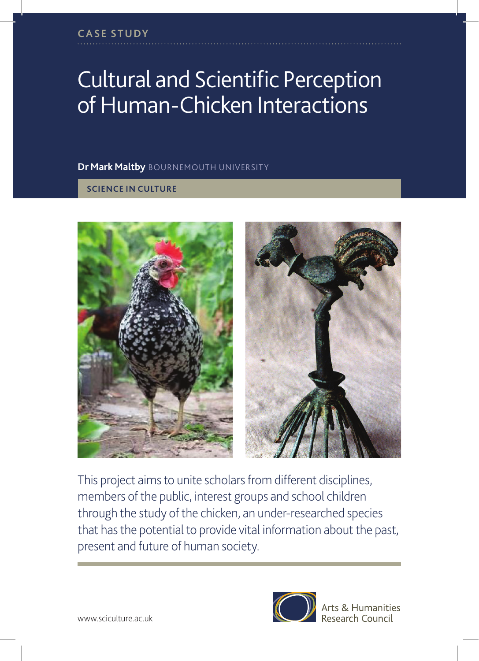## Cultural and Scientific Perception of Human-Chicken Interactions

## **Dr Mark Maltby** BOURNEMOUTH UNIVERSITY

## **SCIENCE IN CULTURE**





This project aims to unite scholars from different disciplines, members of the public, interest groups and school children through the study of the chicken, an under-researched species that has the potential to provide vital information about the past, present and future of human society.



Arts & Humanities Research Council